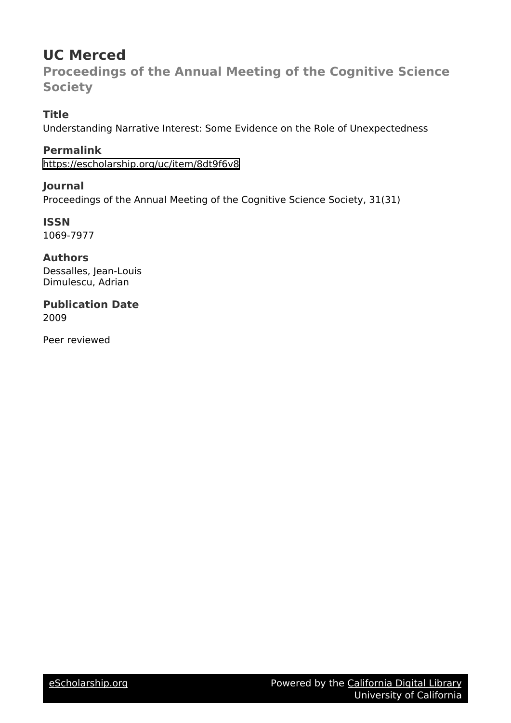# **UC Merced**

**Proceedings of the Annual Meeting of the Cognitive Science Society**

# **Title**

Understanding Narrative Interest: Some Evidence on the Role of Unexpectedness

**Permalink** <https://escholarship.org/uc/item/8dt9f6v8>

**Journal** Proceedings of the Annual Meeting of the Cognitive Science Society, 31(31)

**ISSN** 1069-7977

**Authors** Dessalles, Jean-Louis Dimulescu, Adrian

**Publication Date** 2009

Peer reviewed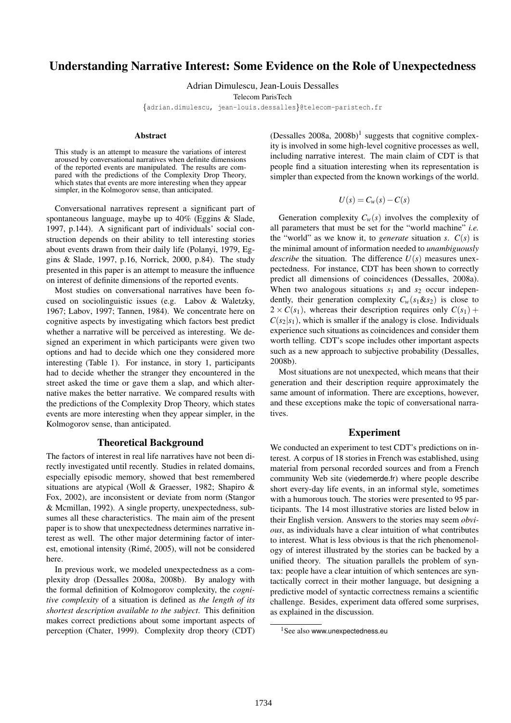# Understanding Narrative Interest: Some Evidence on the Role of Unexpectedness

Adrian Dimulescu, Jean-Louis Dessalles

Telecom ParisTech

{adrian.dimulescu, jean-louis.dessalles}@telecom-paristech.fr

#### Abstract

This study is an attempt to measure the variations of interest aroused by conversational narratives when definite dimensions of the reported events are manipulated. The results are compared with the predictions of the Complexity Drop Theory, which states that events are more interesting when they appear simpler, in the Kolmogorov sense, than anticipated.

Conversational narratives represent a significant part of spontaneous language, maybe up to 40% (Eggins & Slade, 1997, p.144). A significant part of individuals' social construction depends on their ability to tell interesting stories about events drawn from their daily life (Polanyi, 1979, Eggins & Slade, 1997, p.16, Norrick, 2000, p.84). The study presented in this paper is an attempt to measure the influence on interest of definite dimensions of the reported events.

Most studies on conversational narratives have been focused on sociolinguistic issues (e.g. Labov & Waletzky, 1967; Labov, 1997; Tannen, 1984). We concentrate here on cognitive aspects by investigating which factors best predict whether a narrative will be perceived as interesting. We designed an experiment in which participants were given two options and had to decide which one they considered more interesting (Table 1). For instance, in story 1, participants had to decide whether the stranger they encountered in the street asked the time or gave them a slap, and which alternative makes the better narrative. We compared results with the predictions of the Complexity Drop Theory, which states events are more interesting when they appear simpler, in the Kolmogorov sense, than anticipated.

#### Theoretical Background

The factors of interest in real life narratives have not been directly investigated until recently. Studies in related domains, especially episodic memory, showed that best remembered situations are atypical (Woll & Graesser, 1982; Shapiro & Fox, 2002), are inconsistent or deviate from norm (Stangor & Mcmillan, 1992). A single property, unexpectedness, subsumes all these characteristics. The main aim of the present paper is to show that unexpectedness determines narrative interest as well. The other major determining factor of interest, emotional intensity (Rimé, 2005), will not be considered here.

In previous work, we modeled unexpectedness as a complexity drop (Dessalles 2008a, 2008b). By analogy with the formal definition of Kolmogorov complexity, the *cognitive complexity* of a situation is defined as *the length of its shortest description available to the subject*. This definition makes correct predictions about some important aspects of perception (Chater, 1999). Complexity drop theory (CDT)

(Dessalles  $2008a$ ,  $2008b$ )<sup>1</sup> suggests that cognitive complexity is involved in some high-level cognitive processes as well, including narrative interest. The main claim of CDT is that people find a situation interesting when its representation is simpler than expected from the known workings of the world.

$$
U(s) = C_w(s) - C(s)
$$

Generation complexity  $C_w(s)$  involves the complexity of all parameters that must be set for the "world machine" *i.e.* the "world" as we know it, to *generate* situation *s*.  $C(s)$  is the minimal amount of information needed to *unambiguously describe* the situation. The difference  $U(s)$  measures unexpectedness. For instance, CDT has been shown to correctly predict all dimensions of coincidences (Dessalles, 2008a). When two analogous situations  $s_1$  and  $s_2$  occur independently, their generation complexity  $C_w(s_1 \& s_2)$  is close to  $2 \times C(s_1)$ , whereas their description requires only  $C(s_1)$  +  $C(s_2|s_1)$ , which is smaller if the analogy is close. Individuals experience such situations as coincidences and consider them worth telling. CDT's scope includes other important aspects such as a new approach to subjective probability (Dessalles, 2008b).

Most situations are not unexpected, which means that their generation and their description require approximately the same amount of information. There are exceptions, however, and these exceptions make the topic of conversational narratives.

#### Experiment

We conducted an experiment to test CDT's predictions on interest. A corpus of 18 stories in French was established, using material from personal recorded sources and from a French community Web site (viedemerde.fr) where people describe short every-day life events, in an informal style, sometimes with a humorous touch. The stories were presented to 95 participants. The 14 most illustrative stories are listed below in their English version. Answers to the stories may seem *obvious*, as individuals have a clear intuition of what contributes to interest. What is less obvious is that the rich phenomenology of interest illustrated by the stories can be backed by a unified theory. The situation parallels the problem of syntax: people have a clear intuition of which sentences are syntactically correct in their mother language, but designing a predictive model of syntactic correctness remains a scientific challenge. Besides, experiment data offered some surprises, as explained in the discussion.

<sup>&</sup>lt;sup>1</sup>See also www.unexpectedness.eu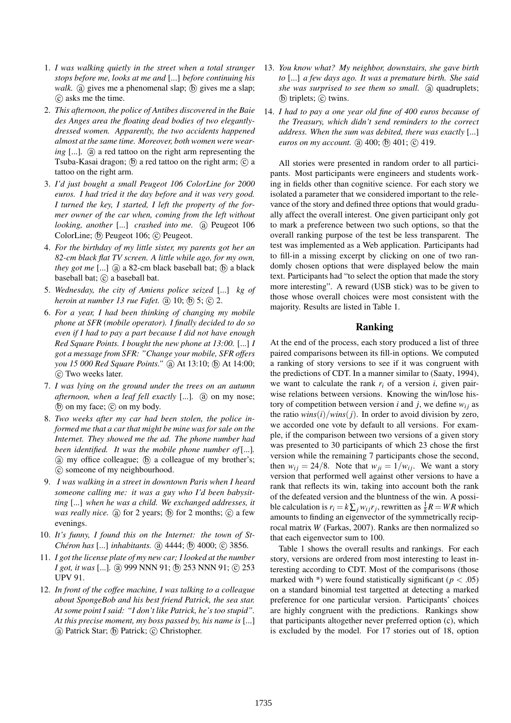- 1. *I was walking quietly in the street when a total stranger stops before me, looks at me and* [...] *before continuing his* walk. (a) gives me a phenomenal slap; (b) gives me a slap; (c) asks me the time.
- 2. *This afternoon, the police of Antibes discovered in the Baie des Anges area the floating dead bodies of two elegantlydressed women. Apparently, the two accidents happened almost at the same time. Moreover, both women were wearing* [...]. (a) a red tattoo on the right arm representing the Tsuba-Kasai dragon;  $(\overline{b})$  a red tattoo on the right arm;  $(\overline{c})$  a tattoo on the right arm.
- 3. *I'd just bought a small Peugeot 106 ColorLine for 2000 euros. I had tried it the day before and it was very good. I turned the key, I started, I left the property of the former owner of the car when, coming from the left without looking, another* [...] *crashed into me.* (a) Peugeot 106 ColorLine; (b) Peugeot 106; (c) Peugeot.
- 4. *For the birthday of my little sister, my parents got her an 82-cm black flat TV screen. A little while ago, for my own, they got me*  $\left[ \ldots \right]$  (a) a 82-cm black baseball bat; (b) a black baseball bat; (c) a baseball bat.
- 5. *Wednesday, the city of Amiens police seized* [...] *kg of heroin at number 13 rue Fafet.* (a) 10; (b) 5; (c) 2.
- 6. *For a year, I had been thinking of changing my mobile phone at SFR (mobile operator). I finally decided to do so even if I had to pay a part because I did not have enough Red Square Points. I bought the new phone at 13:00.* [...] *I got a message from SFR: "Change your mobile, SFR offers you 15 000 Red Square Points.*" (a) At 13:10; (b) At 14:00;  $\odot$  Two weeks later.
- 7. *I was lying on the ground under the trees on an autumn afternoon, when a leaf fell exactly* [...]. (a) on my nose;  $(b)$  on my face;  $(c)$  on my body.
- 8. *Two weeks after my car had been stolen, the police informed me that a car that might be mine was for sale on the Internet. They showed me the ad. The phone number had been identified. It was the mobile phone number of*[...]*.*  $\alpha$  my office colleague;  $\beta$  a colleague of my brother's; (c) someone of my neighbourhood.
- 9. *I was walking in a street in downtown Paris when I heard someone calling me: it was a guy who I'd been babysitting* [...] *when he was a child. We exchanged addresses, it was really nice.* (a) for 2 years; (b) for 2 months; (c) a few evenings.
- 10. *It's funny, I found this on the Internet: the town of St-Chéron has* [...] *inhabitants.* (a) 4444; (b) 4000; (c) 3856.
- 11. *I got the license plate of my new car; I looked at the number I got, it was* [...]. @ 999 NNN 91; @ 253 NNN 91; @ 253 UPV 91.
- 12. *In front of the coffee machine, I was talking to a colleague about SpongeBob and his best friend Patrick, the sea star. At some point I said: "I don't like Patrick, he's too stupid". At this precise moment, my boss passed by, his name is* [...] (a) Patrick Star; (b) Patrick; (c) Christopher.
- 13. *You know what? My neighbor, downstairs, she gave birth to* [...] *a few days ago. It was a premature birth. She said* she was surprised to see them so small. (a) quadruplets;  $(b)$  triplets;  $(c)$  twins.
- 14. *I had to pay a one year old fine of 400 euros because of the Treasury, which didn't send reminders to the correct address. When the sum was debited, there was exactly* [...] *euros on my account.* (a) 400; (b) 401; (c) 419.

All stories were presented in random order to all participants. Most participants were engineers and students working in fields other than cognitive science. For each story we isolated a parameter that we considered important to the relevance of the story and defined three options that would gradually affect the overall interest. One given participant only got to mark a preference between two such options, so that the overall ranking purpose of the test be less transparent. The test was implemented as a Web application. Participants had to fill-in a missing excerpt by clicking on one of two randomly chosen options that were displayed below the main text. Participants had "to select the option that made the story more interesting". A reward (USB stick) was to be given to those whose overall choices were most consistent with the majority. Results are listed in Table 1.

# Ranking

At the end of the process, each story produced a list of three paired comparisons between its fill-in options. We computed a ranking of story versions to see if it was congruent with the predictions of CDT. In a manner similar to (Saaty, 1994), we want to calculate the rank  $r_i$  of a version *i*, given pairwise relations between versions. Knowing the win/lose history of competition between version *i* and *j*, we define  $w_{ij}$  as the ratio  $wins(i)/wins(j)$ . In order to avoid division by zero, we accorded one vote by default to all versions. For example, if the comparison between two versions of a given story was presented to 30 participants of which 23 chose the first version while the remaining 7 participants chose the second, then  $w_{ij} = 24/8$ . Note that  $w_{ji} = 1/w_{ij}$ . We want a story version that performed well against other versions to have a rank that reflects its win, taking into account both the rank of the defeated version and the bluntness of the win. A possible calculation is  $r_i = k \sum_j w_{ij} r_j$ , rewritten as  $\frac{1}{k}R = WR$  which amounts to finding an eigenvector of the symmetrically reciprocal matrix *W* (Farkas, 2007). Ranks are then normalized so that each eigenvector sum to 100.

Table 1 shows the overall results and rankings. For each story, versions are ordered from most interesting to least interesting according to CDT. Most of the comparisons (those marked with \*) were found statistically significant ( $p < .05$ ) on a standard binomial test targetted at detecting a marked preference for one particular version. Participants' choices are highly congruent with the predictions. Rankings show that participants altogether never preferred option (c), which is excluded by the model. For 17 stories out of 18, option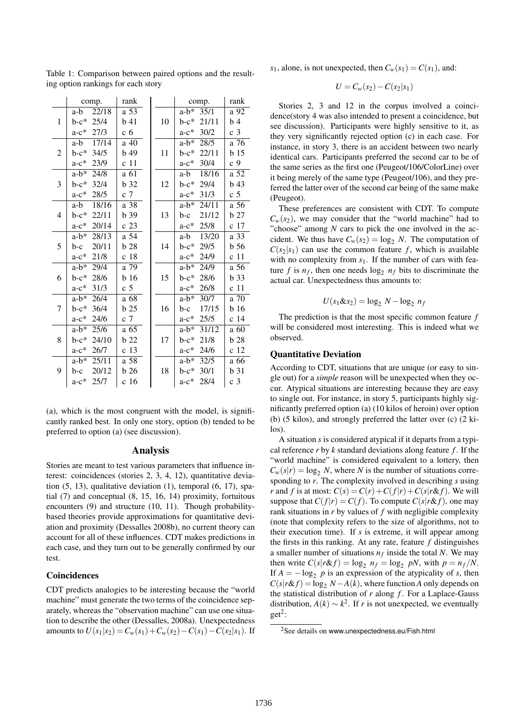| $\mathbf{1}$   | a-b<br>22/18<br>$b-c*$<br>25/4 | a 53           |    | $a-b^*$<br>35/1  | a 92             |
|----------------|--------------------------------|----------------|----|------------------|------------------|
|                |                                |                | 10 |                  |                  |
|                |                                | $b$ 41         |    | $b-c*$<br>21/11  | b <sub>4</sub>   |
|                | $a-c^*$<br>27/3                | c 6            |    | 30/2<br>$a-c$ *  | c <sub>3</sub>   |
|                | 17/14<br>a-b                   | a 40           | 11 | $a-b^*$<br>28/5  | a 76             |
| $\overline{2}$ | 34/5<br>$b-c*$                 | b49            |    | 22/11<br>$b-c^*$ | b <sub>15</sub>  |
|                | $a-c$ *<br>23/9                | c 11           |    | $a-c$ *<br>30/4  | c <sub>9</sub>   |
|                | $a-b*$<br>24/8                 | a 61           |    | 18/16<br>a-b     | a 52             |
| 3              | $b-c*$<br>32/4                 | b 32           | 12 | 29/4<br>$b-c^*$  | b <sub>43</sub>  |
|                | $a-c^*$<br>28/5                | c <sub>7</sub> |    | $a-c$ *<br>31/3  | c <sub>5</sub>   |
|                | 18/16<br>a-b                   | a 38           |    | $a-b^*$<br>24/11 | a 56             |
| 4              | $b-c*$<br>22/11                | b 39           | 13 | 21/12<br>b-c     | b27              |
|                | $a-c$ *<br>20/14               | c 23           |    | 25/8<br>$a-c^*$  | c 17             |
|                | $a-b^*$<br>28/13               | a 54           | 14 | 13/20<br>a-b     | a 33             |
| 5              | 20/11<br>$b-c$                 | <b>b</b> 28    |    | 29/5<br>$b-c*$   | b <sub>56</sub>  |
|                | $a-c$ *<br>21/8                | c 18           |    | $a-c$ *<br>24/9  | c 11             |
|                | $a-b^*$<br>29/4                | a 79           |    | $a-b^*$<br>24/9  | a 56             |
| 6              | $b-c*$<br>28/6                 | b 16           | 15 | $b-c*$<br>28/6   | b 33             |
|                | $a-c$ *<br>31/3                | c <sub>5</sub> |    | $a-c$ *<br>26/8  | c 11             |
|                | $a-b*$<br>26/4                 | a 68           | 16 | $a-b^*$<br>30/7  | $a\overline{70}$ |
| 7              | $b-c*$<br>36/4                 | b25            |    | 17/15<br>b-c     | b <sub>16</sub>  |
|                | $a-c*$<br>24/6                 | c <sub>7</sub> |    | 25/5<br>$a-c^*$  | c 14             |
|                | $a-b*$<br>25/6                 | a 65           |    | $a-b^*$<br>31/12 | a 60             |
| 8              | $b-c*$<br>24/10                | b 22           | 17 | $b-c*$<br>21/8   | b 28             |
|                | $a-c*$<br>26/7                 | c 13           |    | $a-c$ *<br>24/6  | c 12             |
|                | $a-b*$<br>25/11                | a 58           |    | $a-b^*$<br>32/5  | a 66             |
| 9              | 20/12<br>b-c                   | b26            | 18 | $b-c^*$<br>30/1  | b <sub>31</sub>  |
|                | $a-c*$<br>25/7                 | c 16           |    | $a-c^*$<br>28/4  | c <sub>3</sub>   |

Table 1: Comparison between paired options and the resulting option rankings for each story

(a), which is the most congruent with the model, is significantly ranked best. In only one story, option (b) tended to be preferred to option (a) (see discussion).

#### Analysis

Stories are meant to test various parameters that influence interest: coincidences (stories 2, 3, 4, 12), quantitative deviation (5, 13), qualitative deviation (1), temporal (6, 17), spatial (7) and conceptual (8, 15, 16, 14) proximity, fortuitous encounters (9) and structure (10, 11). Though probabilitybased theories provide approximations for quantitative deviation and proximity (Dessalles 2008b), no current theory can account for all of these influences. CDT makes predictions in each case, and they turn out to be generally confirmed by our test.

#### Coincidences

CDT predicts analogies to be interesting because the "world machine" must generate the two terms of the coincidence separately, whereas the "observation machine" can use one situation to describe the other (Dessalles, 2008a). Unexpectedness amounts to  $U(s_1|s_2) = C_w(s_1) + C_w(s_2) - C(s_1) - C(s_2|s_1)$ . If  $s_1$ , alone, is not unexpected, then  $C_w(s_1) = C(s_1)$ , and:

$$
U=C_w(s_2)-C(s_2|s_1)
$$

Stories 2, 3 and 12 in the corpus involved a coincidence(story 4 was also intended to present a coincidence, but see discussion). Participants were highly sensitive to it, as they very significantly rejected option (c) in each case. For instance, in story 3, there is an accident between two nearly identical cars. Participants preferred the second car to be of the same series as the first one (Peugeot/106/ColorLine) over it being merely of the same type (Peugeot/106), and they preferred the latter over of the second car being of the same make (Peugeot).

These preferences are consistent with CDT. To compute  $C_w(s_2)$ , we may consider that the "world machine" had to "choose" among *N* cars to pick the one involved in the accident. We thus have  $C_w(s_2) = \log_2 N$ . The computation of  $C(s_2|s_1)$  can use the common feature *f*, which is available with no complexity from  $s<sub>1</sub>$ . If the number of cars with feature *f* is  $n_f$ , then one needs  $\log_2 n_f$  bits to discriminate the actual car. Unexpectedness thus amounts to:

$$
U(s_1 \& s_2) = \log_2 N - \log_2 n_f
$$

The prediction is that the most specific common feature *f* will be considered most interesting. This is indeed what we observed.

# Quantitative Deviation

According to CDT, situations that are unique (or easy to single out) for a *simple* reason will be unexpected when they occur. Atypical situations are interesting because they are easy to single out. For instance, in story 5, participants highly significantly preferred option (a) (10 kilos of heroin) over option (b) (5 kilos), and strongly preferred the latter over (c) (2 kilos).

A situation *s* is considered atypical if it departs from a typical reference  $r$  by  $k$  standard deviations along feature  $f$ . If the "world machine" is considered equivalent to a lottery, then  $C_w(s|r) = \log_2 N$ , where *N* is the number of situations corresponding to *r*. The complexity involved in describing *s* using *r* and *f* is at most:  $C(s) = C(r) + C(f|r) + C(s|r \& f)$ . We will suppose that  $C(f|r) = C(f)$ . To compute  $C(s|r \& f)$ , one may rank situations in *r* by values of *f* with negligible complexity (note that complexity refers to the size of algorithms, not to their execution time). If *s* is extreme, it will appear among the firsts in this ranking. At any rate, feature *f* distinguishes a smaller number of situations  $n_f$  inside the total *N*. We may then write  $C(s|r\&f) = \log_2 n_f = \log_2 pN$ , with  $p = n_f/N$ . If  $A = -\log_2 p$  is an expression of the atypicality of *s*, then  $C(s|r\&f) = \log_2 N - A(k)$ , where function *A* only depends on the statistical distribution of  $r$  along  $f$ . For a Laplace-Gauss distribution,  $A(k) \sim k^2$ . If *r* is not unexpected, we eventually  $get<sup>2</sup>$ :

<sup>2</sup>See details on www.unexpectedness.eu/Fish.html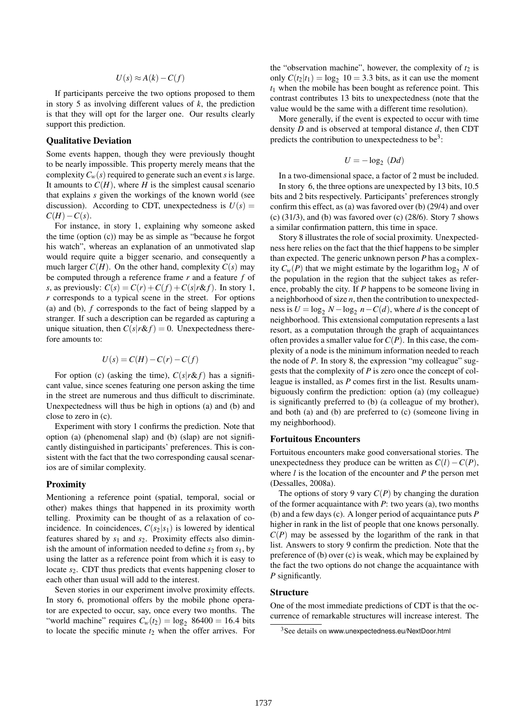$$
U(s) \approx A(k) - C(f)
$$

If participants perceive the two options proposed to them in story 5 as involving different values of  $k$ , the prediction is that they will opt for the larger one. Our results clearly support this prediction.

#### Qualitative Deviation

Some events happen, though they were previously thought to be nearly impossible. This property merely means that the complexity  $C_w(s)$  required to generate such an event *s* is large. It amounts to  $C(H)$ , where *H* is the simplest causal scenario that explains *s* given the workings of the known world (see discussion). According to CDT, unexpectedness is  $U(s)$  =  $C(H) - C(s)$ .

For instance, in story 1, explaining why someone asked the time (option (c)) may be as simple as "because he forgot his watch", whereas an explanation of an unmotivated slap would require quite a bigger scenario, and consequently a much larger  $C(H)$ . On the other hand, complexity  $C(s)$  may be computed through a reference frame *r* and a feature *f* of *s*, as previously:  $C(s) = C(r) + C(f) + C(s|r \& f)$ . In story 1, *r* corresponds to a typical scene in the street. For options (a) and (b), *f* corresponds to the fact of being slapped by a stranger. If such a description can be regarded as capturing a unique situation, then  $C(s|r \& f) = 0$ . Unexpectedness therefore amounts to:

$$
U(s) = C(H) - C(r) - C(f)
$$

For option (c) (asking the time),  $C(s|r \& f)$  has a significant value, since scenes featuring one person asking the time in the street are numerous and thus difficult to discriminate. Unexpectedness will thus be high in options (a) and (b) and close to zero in (c).

Experiment with story 1 confirms the prediction. Note that option (a) (phenomenal slap) and (b) (slap) are not significantly distinguished in participants' preferences. This is consistent with the fact that the two corresponding causal scenarios are of similar complexity.

#### **Proximity**

Mentioning a reference point (spatial, temporal, social or other) makes things that happened in its proximity worth telling. Proximity can be thought of as a relaxation of coincidence. In coincidences,  $C(s_2|s_1)$  is lowered by identical features shared by *s*<sup>1</sup> and *s*2. Proximity effects also diminish the amount of information needed to define  $s_2$  from  $s_1$ , by using the latter as a reference point from which it is easy to locate *s*<sub>2</sub>. CDT thus predicts that events happening closer to each other than usual will add to the interest.

Seven stories in our experiment involve proximity effects. In story 6, promotional offers by the mobile phone operator are expected to occur, say, once every two months. The "world machine" requires  $C_w(t_2) = \log_2 86400 = 16.4$  bits to locate the specific minute  $t_2$  when the offer arrives. For the "observation machine", however, the complexity of  $t_2$  is only  $C(t_2|t_1) = \log_2 10 = 3.3$  bits, as it can use the moment *t*<sup>1</sup> when the mobile has been bought as reference point. This contrast contributes 13 bits to unexpectedness (note that the value would be the same with a different time resolution).

More generally, if the event is expected to occur with time density *D* and is observed at temporal distance *d*, then CDT predicts the contribution to unexpectedness to be<sup>3</sup>:

$$
U=-\log_2\ (Dd)
$$

In a two-dimensional space, a factor of 2 must be included. In story 6, the three options are unexpected by 13 bits, 10.5 bits and 2 bits respectively. Participants' preferences strongly confirm this effect, as (a) was favored over (b) (29/4) and over (c)  $(31/3)$ , and (b) was favored over (c)  $(28/6)$ . Story 7 shows a similar confirmation pattern, this time in space.

Story 8 illustrates the role of social proximity. Unexpectedness here relies on the fact that the thief happens to be simpler than expected. The generic unknown person *P* has a complexity  $C_w(P)$  that we might estimate by the logarithm log<sub>2</sub> N of the population in the region that the subject takes as reference, probably the city. If *P* happens to be someone living in a neighborhood of size *n*, then the contribution to unexpectedness is  $U = \log_2 N - \log_2 n - C(d)$ , where *d* is the concept of neighborhood. This extensional computation represents a last resort, as a computation through the graph of acquaintances often provides a smaller value for*C*(*P*). In this case, the complexity of a node is the minimum information needed to reach the node of *P*. In story 8, the expression "my colleague" suggests that the complexity of *P* is zero once the concept of colleague is installed, as *P* comes first in the list. Results unambiguously confirm the prediction: option (a) (my colleague) is significantly preferred to (b) (a colleague of my brother), and both (a) and (b) are preferred to (c) (someone living in my neighborhood).

# Fortuitous Encounters

Fortuitous encounters make good conversational stories. The unexpectedness they produce can be written as  $C(l) - C(P)$ , where *l* is the location of the encounter and *P* the person met (Dessalles, 2008a).

The options of story 9 vary  $C(P)$  by changing the duration of the former acquaintance with *P*: two years (a), two months (b) and a few days (c). A longer period of acquaintance puts *P* higher in rank in the list of people that one knows personally.  $C(P)$  may be assessed by the logarithm of the rank in that list. Answers to story 9 confirm the prediction. Note that the preference of (b) over (c) is weak, which may be explained by the fact the two options do not change the acquaintance with *P* significantly.

#### **Structure**

One of the most immediate predictions of CDT is that the occurrence of remarkable structures will increase interest. The

<sup>&</sup>lt;sup>3</sup>See details on www.unexpectedness.eu/NextDoor.html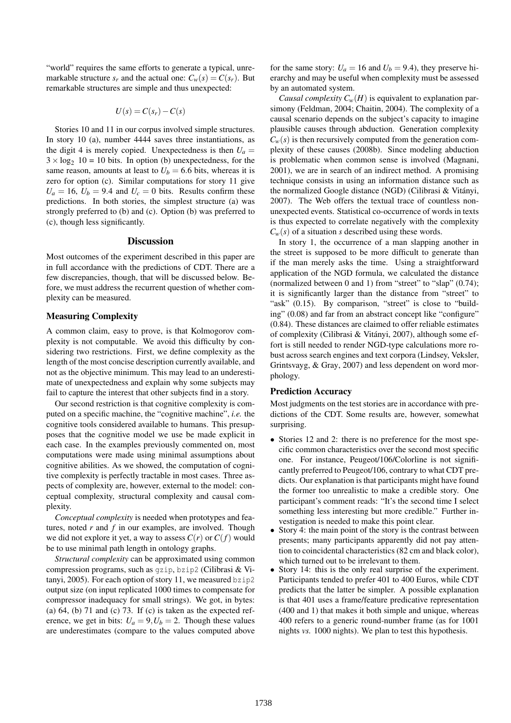"world" requires the same efforts to generate a typical, unremarkable structure  $s_r$  and the actual one:  $C_w(s) = C(s_r)$ . But remarkable structures are simple and thus unexpected:

$$
U(s) = C(s_r) - C(s)
$$

Stories 10 and 11 in our corpus involved simple structures. In story 10 (a), number 4444 saves three instantiations, as the digit 4 is merely copied. Unexpectedness is then  $U_a$  =  $3 \times \log_2 10 = 10$  bits. In option (b) unexpectedness, for the same reason, amounts at least to  $U_b = 6.6$  bits, whereas it is zero for option (c). Similar computations for story 11 give  $U_a = 16$ ,  $U_b = 9.4$  and  $U_c = 0$  bits. Results confirm these predictions. In both stories, the simplest structure (a) was strongly preferred to (b) and (c). Option (b) was preferred to (c), though less significantly.

# **Discussion**

Most outcomes of the experiment described in this paper are in full accordance with the predictions of CDT. There are a few discrepancies, though, that will be discussed below. Before, we must address the recurrent question of whether complexity can be measured.

# Measuring Complexity

A common claim, easy to prove, is that Kolmogorov complexity is not computable. We avoid this difficulty by considering two restrictions. First, we define complexity as the length of the most concise description currently available, and not as the objective minimum. This may lead to an underestimate of unexpectedness and explain why some subjects may fail to capture the interest that other subjects find in a story.

Our second restriction is that cognitive complexity is computed on a specific machine, the "cognitive machine", *i.e.* the cognitive tools considered available to humans. This presupposes that the cognitive model we use be made explicit in each case. In the examples previously commented on, most computations were made using minimal assumptions about cognitive abilities. As we showed, the computation of cognitive complexity is perfectly tractable in most cases. Three aspects of complexity are, however, external to the model: conceptual complexity, structural complexity and causal complexity.

*Conceptual complexity* is needed when prototypes and features, noted *r* and *f* in our examples, are involved. Though we did not explore it yet, a way to assess  $C(r)$  or  $C(f)$  would be to use minimal path length in ontology graphs.

*Structural complexity* can be approximated using common compression programs, such as gzip, bzip2 (Cilibrasi & Vitanyi, 2005). For each option of story 11, we measured bzip2 output size (on input replicated 1000 times to compensate for compressor inadequacy for small strings). We got, in bytes: (a)  $64$ , (b)  $71$  and (c)  $73$ . If (c) is taken as the expected reference, we get in bits:  $U_a = 9, U_b = 2$ . Though these values are underestimates (compare to the values computed above

for the same story:  $U_a = 16$  and  $U_b = 9.4$ ), they preserve hierarchy and may be useful when complexity must be assessed by an automated system.

*Causal complexity*  $C_w(H)$  is equivalent to explanation parsimony (Feldman, 2004; Chaitin, 2004). The complexity of a causal scenario depends on the subject's capacity to imagine plausible causes through abduction. Generation complexity  $C_w(s)$  is then recursively computed from the generation complexity of these causes (2008b). Since modeling abduction is problematic when common sense is involved (Magnani, 2001), we are in search of an indirect method. A promising technique consists in using an information distance such as the normalized Google distance (NGD) (Cilibrasi & Vitányi, 2007). The Web offers the textual trace of countless nonunexpected events. Statistical co-occurrence of words in texts is thus expected to correlate negatively with the complexity  $C_w(s)$  of a situation *s* described using these words.

In story 1, the occurrence of a man slapping another in the street is supposed to be more difficult to generate than if the man merely asks the time. Using a straightforward application of the NGD formula, we calculated the distance (normalized between  $0$  and  $1$ ) from "street" to "slap"  $(0.74)$ ; it is significantly larger than the distance from "street" to "ask" (0.15). By comparison, "street" is close to "building" (0.08) and far from an abstract concept like "configure" (0.84). These distances are claimed to offer reliable estimates of complexity (Cilibrasi & Vitanyi, 2007), although some ef- ´ fort is still needed to render NGD-type calculations more robust across search engines and text corpora (Lindsey, Veksler, Grintsvayg, & Gray, 2007) and less dependent on word morphology.

#### Prediction Accuracy

Most judgments on the test stories are in accordance with predictions of the CDT. Some results are, however, somewhat surprising.

- Stories 12 and 2: there is no preference for the most specific common characteristics over the second most specific one. For instance, Peugeot/106/Colorline is not significantly preferred to Peugeot/106, contrary to what CDT predicts. Our explanation is that participants might have found the former too unrealistic to make a credible story. One participant's comment reads: "It's the second time I select something less interesting but more credible." Further investigation is needed to make this point clear.
- Story 4: the main point of the story is the contrast between presents; many participants apparently did not pay attention to coincidental characteristics (82 cm and black color), which turned out to be irrelevant to them.
- Story 14: this is the only real surprise of the experiment. Participants tended to prefer 401 to 400 Euros, while CDT predicts that the latter be simpler. A possible explanation is that 401 uses a frame/feature predicative representation (400 and 1) that makes it both simple and unique, whereas 400 refers to a generic round-number frame (as for 1001 nights *vs.* 1000 nights). We plan to test this hypothesis.